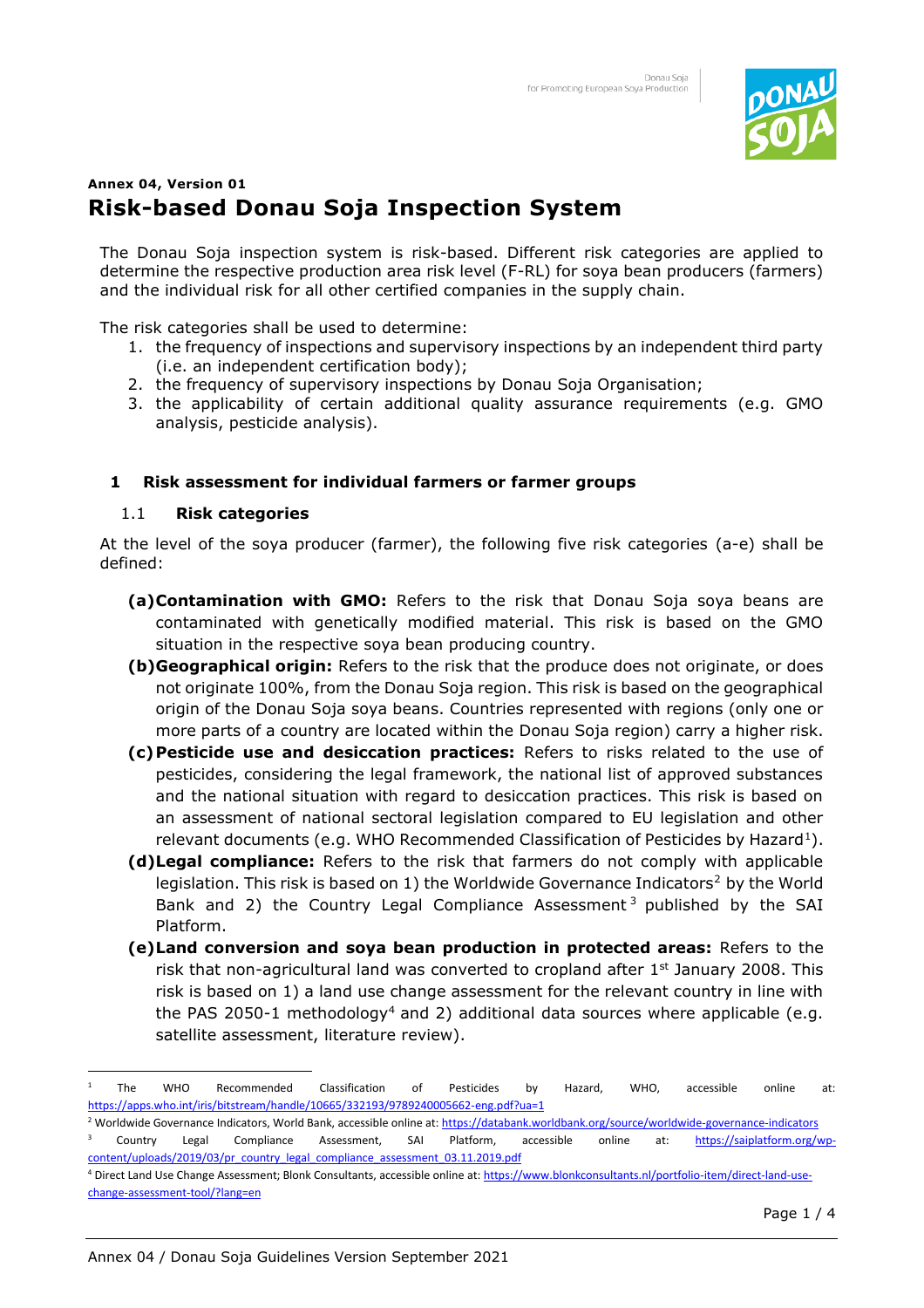

# **Annex 04, Version 01 Risk-based Donau Soja Inspection System**

The Donau Soja inspection system is risk-based. Different risk categories are applied to determine the respective production area risk level (F-RL) for soya bean producers (farmers) and the individual risk for all other certified companies in the supply chain.

The risk categories shall be used to determine:

- 1. the frequency of inspections and supervisory inspections by an independent third party (i.e. an independent certification body);
- 2. the frequency of supervisory inspections by Donau Soja Organisation;
- 3. the applicability of certain additional quality assurance requirements (e.g. GMO analysis, pesticide analysis).

## **1 Risk assessment for individual farmers or farmer groups**

#### 1.1 **Risk categories**

At the level of the soya producer (farmer), the following five risk categories (a-e) shall be defined:

- **(a)Contamination with GMO:** Refers to the risk that Donau Soja soya beans are contaminated with genetically modified material. This risk is based on the GMO situation in the respective soya bean producing country.
- **(b)Geographical origin:** Refers to the risk that the produce does not originate, or does not originate 100%, from the Donau Soja region. This risk is based on the geographical origin of the Donau Soja soya beans. Countries represented with regions (only one or more parts of a country are located within the Donau Soja region) carry a higher risk.
- **(c)Pesticide use and desiccation practices:** Refers to risks related to the use of pesticides, considering the legal framework, the national list of approved substances and the national situation with regard to desiccation practices. This risk is based on an assessment of national sectoral legislation compared to EU legislation and other relevant documents (e.g. WHO Recommended Classification of Pesticides by Hazard<sup>1</sup>).
- **(d)Legal compliance:** Refers to the risk that farmers do not comply with applicable legislation. This risk is based on 1) the Worldwide Governance Indicators<sup>2</sup> by the World Bank and 2) the Country Legal Compliance Assessment<sup>3</sup> published by the SAI Platform.
- **(e)Land conversion and soya bean production in protected areas:** Refers to the risk that non-agricultural land was converted to cropland after  $1<sup>st</sup>$  January 2008. This risk is based on 1) a land use change assessment for the relevant country in line with the PAS 2050-1 methodology<sup>4</sup> and 2) additional data sources where applicable (e.g. satellite assessment, literature review).

<sup>1</sup> The WHO Recommended Classification of Pesticides by Hazard, WHO, accessible online at: <https://apps.who.int/iris/bitstream/handle/10665/332193/9789240005662-eng.pdf?ua=1>

<sup>&</sup>lt;sup>2</sup> Worldwide Governance Indicators, World Bank, accessible online at[: https://databank.worldbank.org/source/worldwide-governance-indicators](https://databank.worldbank.org/source/worldwide-governance-indicators) 3 Country Legal Compliance Assessment, SAI Platform, accessible online at: [https://saiplatform.org/wp](https://saiplatform.org/wp-content/uploads/2019/03/pr_country_legal_compliance_assessment_03.11.2019.pdf)[content/uploads/2019/03/pr\\_country\\_legal\\_compliance\\_assessment\\_03.11.2019.pdf](https://saiplatform.org/wp-content/uploads/2019/03/pr_country_legal_compliance_assessment_03.11.2019.pdf)

<sup>&</sup>lt;sup>4</sup> Direct Land Use Change Assessment; Blonk Consultants, accessible online at[: https://www.blonkconsultants.nl/portfolio-item/direct-land-use](https://www.blonkconsultants.nl/portfolio-item/direct-land-use-change-assessment-tool/?lang=en)[change-assessment-tool/?lang=en](https://www.blonkconsultants.nl/portfolio-item/direct-land-use-change-assessment-tool/?lang=en)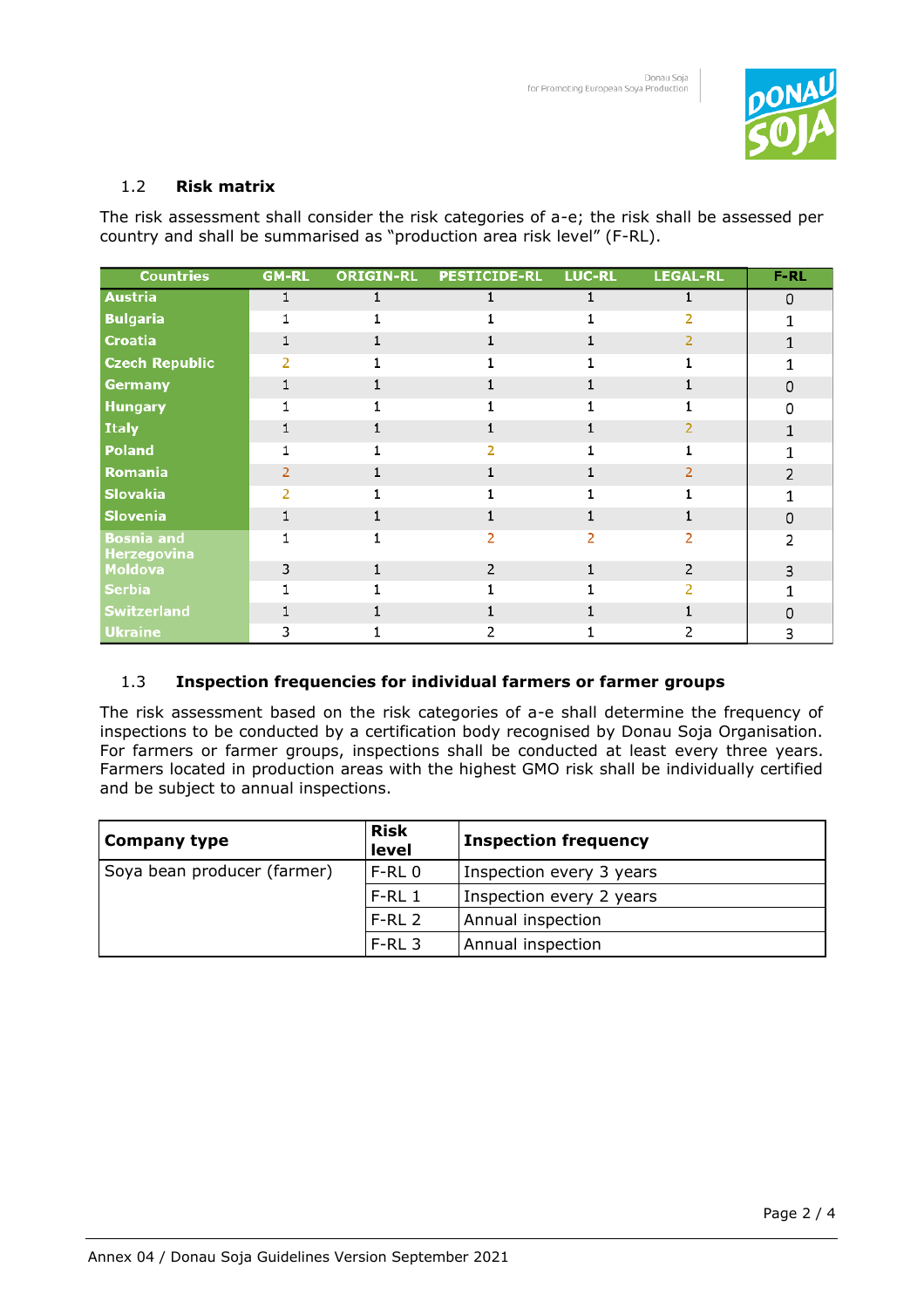

## 1.2 **Risk matrix**

The risk assessment shall consider the risk categories of a-e; the risk shall be assessed per country and shall be summarised as "production area risk level" (F-RL).

| <b>Countries</b>                        | <b>GM-RL</b>   | <b>ORIGIN-RL</b> | <b>PESTICIDE-RL LUC-RL</b> | <b>LEGAL-RL</b> | $F-RL$        |
|-----------------------------------------|----------------|------------------|----------------------------|-----------------|---------------|
| <b>Austria</b>                          |                | 1                |                            |                 | $\Omega$      |
| <b>Bulgaria</b>                         |                |                  |                            |                 |               |
| <b>Croatia</b>                          |                |                  |                            | 2               |               |
| <b>Czech Republic</b>                   |                |                  |                            |                 |               |
| <b>Germany</b>                          |                |                  |                            |                 | 0             |
| <b>Hungary</b>                          |                |                  |                            |                 | n             |
| <b>Italy</b>                            |                |                  |                            |                 |               |
| <b>Poland</b>                           |                |                  |                            |                 |               |
| Romania                                 | $\overline{2}$ |                  |                            |                 |               |
| <b>Slovakia</b>                         |                |                  |                            |                 |               |
| <b>Slovenia</b>                         |                |                  |                            |                 | $\Omega$      |
| <b>Bosnia and</b><br><b>Herzegovina</b> |                |                  |                            |                 | $\mathcal{P}$ |
| <b>Moldova</b>                          | 3              |                  |                            | 2               | 3             |
| <b>Serbia</b>                           |                |                  |                            |                 |               |
| <b>Switzerland</b>                      |                |                  |                            |                 | U             |
| <b>Ukraine</b>                          | 3              |                  |                            |                 | 3             |

## 1.3 **Inspection frequencies for individual farmers or farmer groups**

The risk assessment based on the risk categories of a-e shall determine the frequency of inspections to be conducted by a certification body recognised by Donau Soja Organisation. For farmers or farmer groups, inspections shall be conducted at least every three years. Farmers located in production areas with the highest GMO risk shall be individually certified and be subject to annual inspections.

| Company type                | <b>Risk</b><br>level | <b>Inspection frequency</b> |
|-----------------------------|----------------------|-----------------------------|
| Soya bean producer (farmer) | $F-RL$ <sub>0</sub>  | Inspection every 3 years    |
|                             | $F-RL1$              | Inspection every 2 years    |
|                             | $F-RL2$              | Annual inspection           |
|                             | $F-RL3$              | Annual inspection           |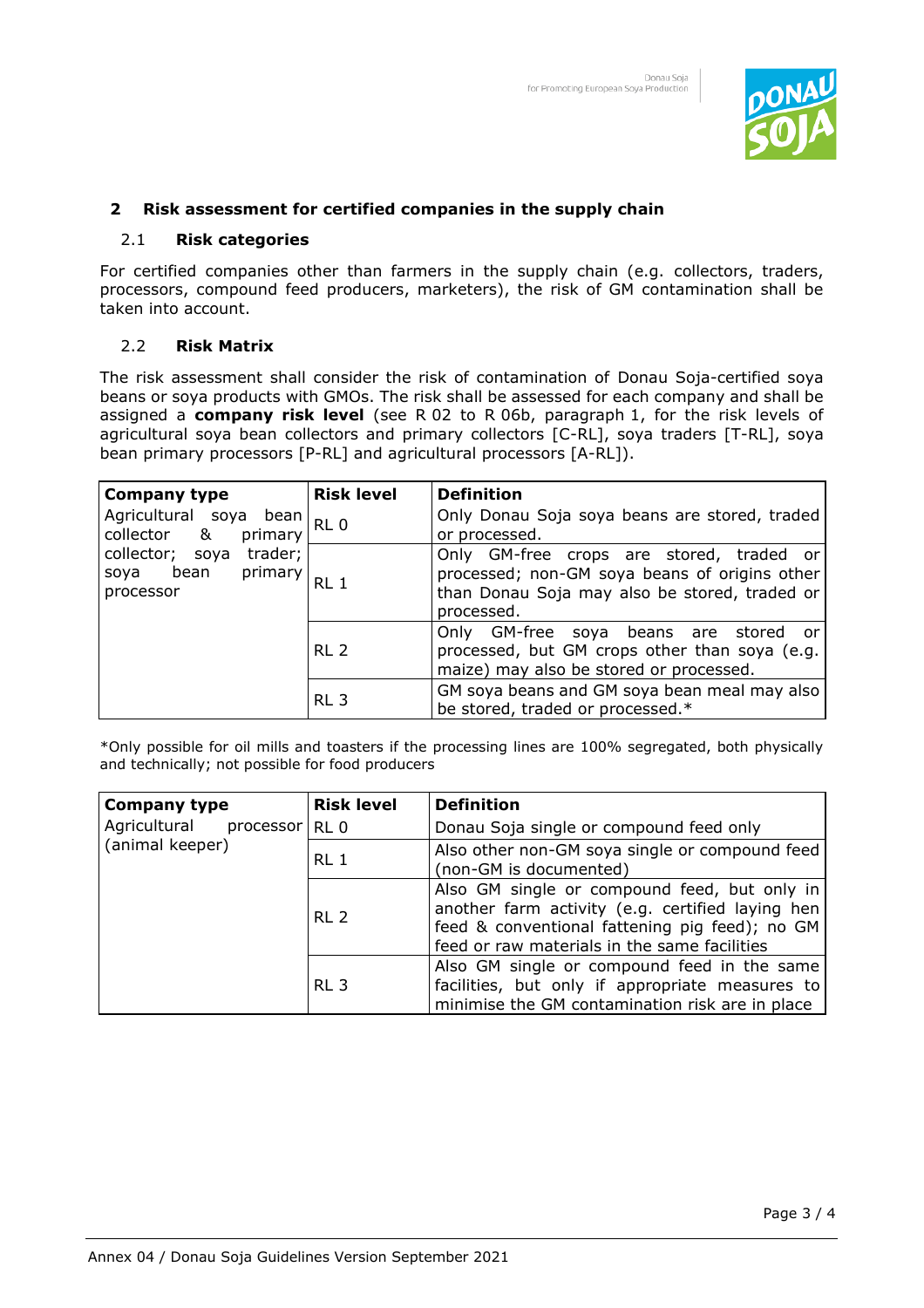

## **2 Risk assessment for certified companies in the supply chain**

#### 2.1 **Risk categories**

For certified companies other than farmers in the supply chain (e.g. collectors, traders, processors, compound feed producers, marketers), the risk of GM contamination shall be taken into account.

#### 2.2 **Risk Matrix**

The risk assessment shall consider the risk of contamination of Donau Soja-certified soya beans or soya products with GMOs. The risk shall be assessed for each company and shall be assigned a **company risk level** (see R 02 to R 06b, paragraph 1, for the risk levels of agricultural soya bean collectors and primary collectors [C-RL], soya traders [T-RL], soya bean primary processors [P-RL] and agricultural processors [A-RL]).

| <b>Company type</b>                                                                                                 | <b>Risk level</b> | <b>Definition</b>                                                                                                                                        |
|---------------------------------------------------------------------------------------------------------------------|-------------------|----------------------------------------------------------------------------------------------------------------------------------------------------------|
| Agricultural soya bean<br>collector &<br>primary<br>trader;<br>collector; soya<br>soya bean<br>primary<br>processor | RL <sub>0</sub>   | Only Donau Soja soya beans are stored, traded<br>or processed.                                                                                           |
|                                                                                                                     | RL <sub>1</sub>   | Only GM-free crops are stored, traded or<br>processed; non-GM soya beans of origins other<br>than Donau Soja may also be stored, traded or<br>processed. |
|                                                                                                                     | RL <sub>2</sub>   | Only GM-free soya beans are stored<br>or<br>processed, but GM crops other than soya (e.g.<br>maize) may also be stored or processed.                     |
|                                                                                                                     | RL <sub>3</sub>   | GM soya beans and GM soya bean meal may also<br>be stored, traded or processed.*                                                                         |

\*Only possible for oil mills and toasters if the processing lines are 100% segregated, both physically and technically; not possible for food producers

| <b>Company type</b>       | <b>Risk level</b> | <b>Definition</b>                                                                                                                                                                                  |  |
|---------------------------|-------------------|----------------------------------------------------------------------------------------------------------------------------------------------------------------------------------------------------|--|
| Agricultural<br>processor | RL <sub>0</sub>   | Donau Soja single or compound feed only                                                                                                                                                            |  |
| (animal keeper)           | RL 1              | Also other non-GM soya single or compound feed<br>(non-GM is documented)                                                                                                                           |  |
|                           | RL <sub>2</sub>   | Also GM single or compound feed, but only in<br>another farm activity (e.g. certified laying hen<br>feed & conventional fattening pig feed); no GM<br>feed or raw materials in the same facilities |  |
|                           | RL <sub>3</sub>   | Also GM single or compound feed in the same<br>facilities, but only if appropriate measures to<br>minimise the GM contamination risk are in place                                                  |  |